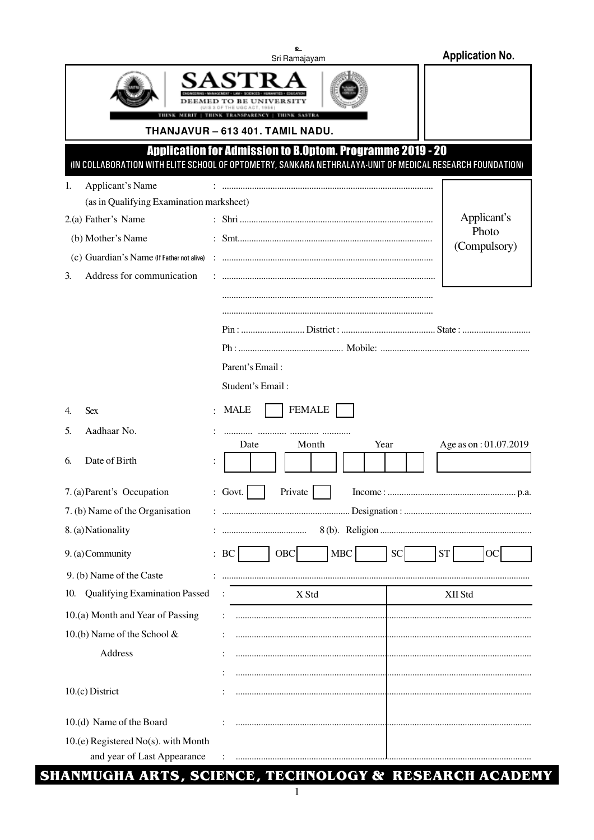|                                             | <b>Application No.</b>                                                                                    |                                  |
|---------------------------------------------|-----------------------------------------------------------------------------------------------------------|----------------------------------|
|                                             | <b>  THINK SASTRA</b><br>THANJAVUR - 613 401. TAMIL NADU.                                                 |                                  |
|                                             | <b>Application for Admission to B.Optom. Programme 2019 - 20</b>                                          |                                  |
| Applicant's Name<br>1.                      | (IN COLLABORATION WITH ELITE SCHOOL OF OPTOMETRY, SANKARA NETHRALAYA-UNIT OF MEDICAL RESEARCH FOUNDATION) |                                  |
| (as in Qualifying Examination marksheet)    |                                                                                                           |                                  |
| 2.(a) Father's Name                         |                                                                                                           | Applicant's                      |
| (b) Mother's Name                           |                                                                                                           | Photo<br>(Compulsory)            |
| (c) Guardian's Name (If Father not alive)   |                                                                                                           |                                  |
| Address for communication<br>3.             |                                                                                                           |                                  |
|                                             |                                                                                                           |                                  |
|                                             |                                                                                                           |                                  |
|                                             |                                                                                                           |                                  |
|                                             |                                                                                                           |                                  |
|                                             | Student's Email:                                                                                          |                                  |
| <b>Sex</b><br>4.                            | <b>FEMALE</b><br>MALE                                                                                     |                                  |
| Aadhaar No.<br>5.                           |                                                                                                           |                                  |
|                                             | Month<br>Year<br>Date                                                                                     | Age as on: 01.07.2019            |
| Date of Birth<br>6.                         |                                                                                                           |                                  |
| 7. (a) Parent's Occupation                  | Private<br>$\colon$ Govt.                                                                                 |                                  |
| 7. (b) Name of the Organisation             |                                                                                                           |                                  |
| 8. (a) Nationality                          |                                                                                                           |                                  |
| 9. (a) Community                            | <b>MBC</b><br><b>OBC</b><br><b>SC</b><br>: BC                                                             | $\operatorname{ST}$<br><b>OC</b> |
| 9. (b) Name of the Caste                    |                                                                                                           |                                  |
| <b>Qualifying Examination Passed</b><br>10. | X Std                                                                                                     | XII Std                          |
| 10.(a) Month and Year of Passing            |                                                                                                           |                                  |
| 10.(b) Name of the School &                 |                                                                                                           |                                  |
| Address                                     |                                                                                                           |                                  |
|                                             |                                                                                                           |                                  |
| 10.(c) District                             |                                                                                                           |                                  |
| 10.(d) Name of the Board                    |                                                                                                           |                                  |
| $10.(e)$ Registered No(s). with Month       |                                                                                                           |                                  |
| and year of Last Appearance                 |                                                                                                           |                                  |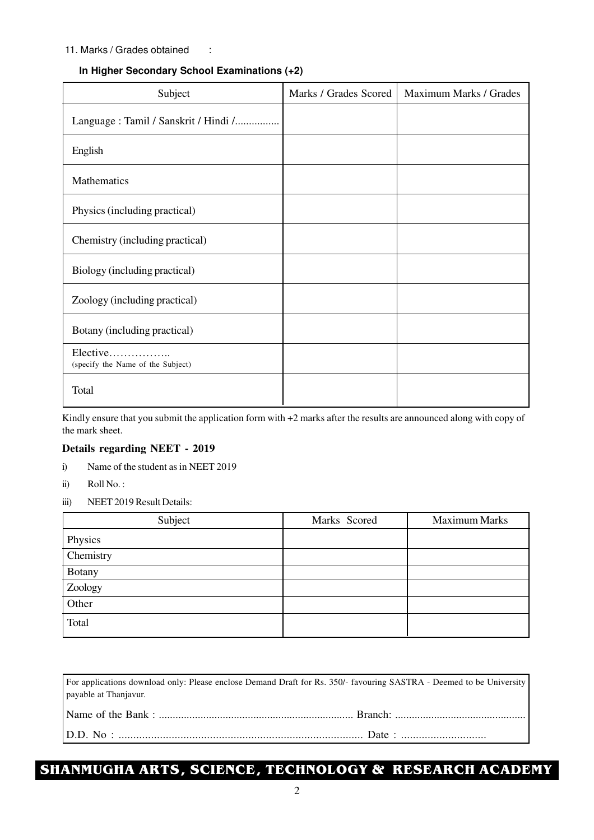#### 11. Marks / Grades obtained :

|  |  | In Higher Secondary School Examinations (+2) |
|--|--|----------------------------------------------|
|--|--|----------------------------------------------|

| Subject                                       | Marks / Grades Scored | Maximum Marks / Grades |
|-----------------------------------------------|-----------------------|------------------------|
| Language: Tamil / Sanskrit / Hindi /          |                       |                        |
| English                                       |                       |                        |
| Mathematics                                   |                       |                        |
| Physics (including practical)                 |                       |                        |
| Chemistry (including practical)               |                       |                        |
| Biology (including practical)                 |                       |                        |
| Zoology (including practical)                 |                       |                        |
| Botany (including practical)                  |                       |                        |
| Elective<br>(specify the Name of the Subject) |                       |                        |
| Total                                         |                       |                        |

Kindly ensure that you submit the application form with +2 marks after the results are announced along with copy of the mark sheet.

#### **Details regarding NEET - 2019**

- i) Name of the student as in NEET 2019
- ii) Roll No. :
- iii) NEET 2019 Result Details:

| Subject       | Marks Scored | <b>Maximum Marks</b> |
|---------------|--------------|----------------------|
| Physics       |              |                      |
| Chemistry     |              |                      |
| <b>Botany</b> |              |                      |
| Zoology       |              |                      |
| Other         |              |                      |
| Total         |              |                      |

| payable at Thanjavur. | For applications download only: Please enclose Demand Draft for Rs. 350/- favouring SASTRA - Deemed to be University |
|-----------------------|----------------------------------------------------------------------------------------------------------------------|
|                       |                                                                                                                      |
|                       |                                                                                                                      |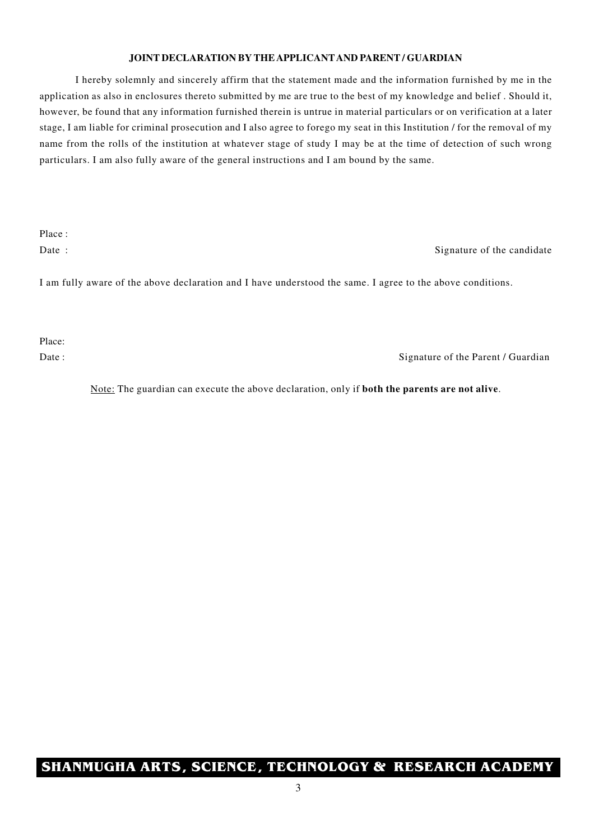#### **JOINT DECLARATION BY THE APPLICANTAND PARENT / GUARDIAN**

I hereby solemnly and sincerely affirm that the statement made and the information furnished by me in the application as also in enclosures thereto submitted by me are true to the best of my knowledge and belief . Should it, however, be found that any information furnished therein is untrue in material particulars or on verification at a later stage, I am liable for criminal prosecution and I also agree to forego my seat in this Institution / for the removal of my name from the rolls of the institution at whatever stage of study I may be at the time of detection of such wrong particulars. I am also fully aware of the general instructions and I am bound by the same.

Place :

Date : Signature of the candidate

I am fully aware of the above declaration and I have understood the same. I agree to the above conditions.

Place:

Date : Signature of the Parent / Guardian

Note: The guardian can execute the above declaration, only if **both the parents are not alive**.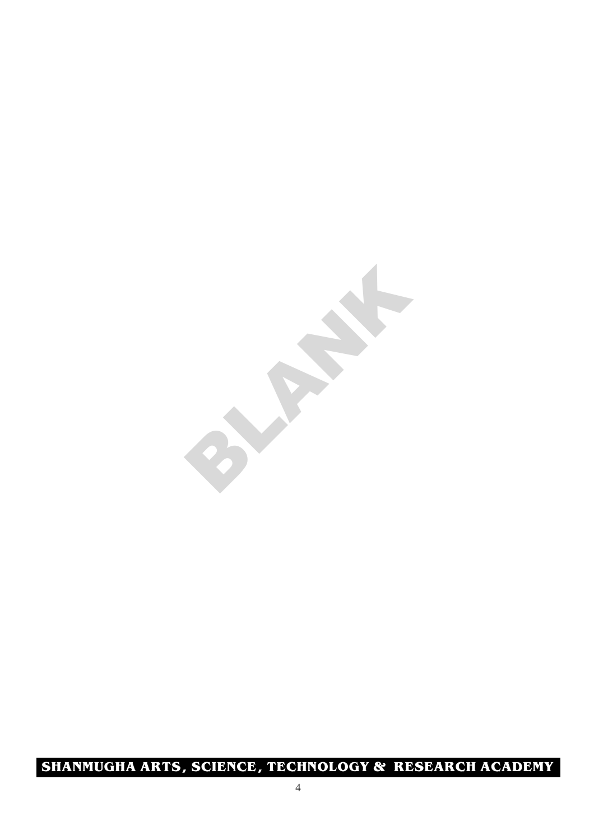BLANK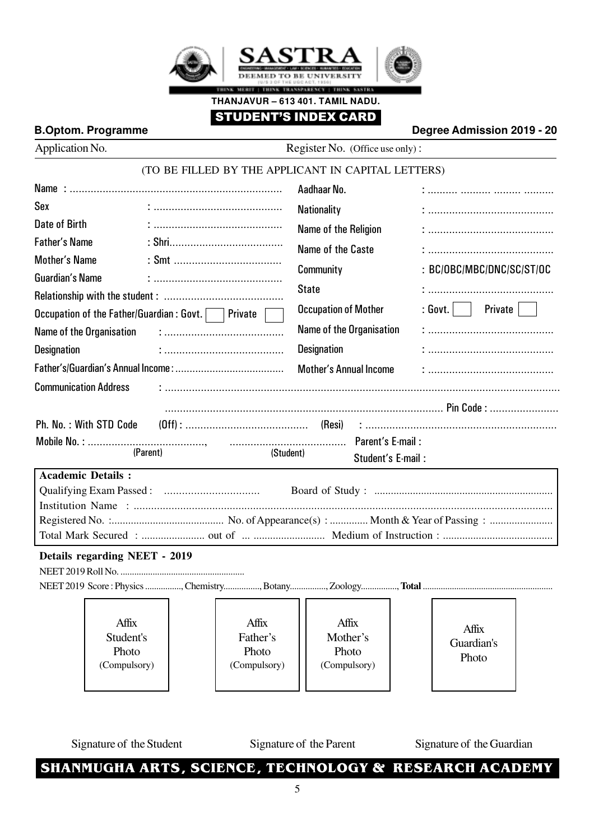

**B.Optom. Programme Degree Admission 2019 - 20** 

Application No. Register No. (Office use only):

|                                                      |                                      |              | (TO BE FILLED BY THE APPLICANT IN CAPITAL LETTERS) |                                        |
|------------------------------------------------------|--------------------------------------|--------------|----------------------------------------------------|----------------------------------------|
|                                                      |                                      |              | Aadhaar No.                                        |                                        |
| Sex                                                  |                                      |              | <b>Nationality</b>                                 |                                        |
| Date of Birth                                        |                                      |              | Name of the Religion                               |                                        |
| <b>Father's Name</b>                                 |                                      |              | Name of the Caste                                  |                                        |
| <b>Mother's Name</b>                                 |                                      |              | Community                                          | : BC/OBC/MBC/DNC/SC/ST/OC              |
| <b>Guardian's Name</b>                               |                                      |              |                                                    |                                        |
|                                                      |                                      |              | <b>State</b>                                       |                                        |
| Occupation of the Father/Guardian: Govt.     Private |                                      |              | <b>Occupation of Mother</b>                        | Private  <br>$:$ Govt. $\vert$ $\vert$ |
|                                                      | Name of the Organisation             |              | Name of the Organisation                           |                                        |
| <b>Designation</b>                                   |                                      |              | <b>Designation</b>                                 |                                        |
|                                                      |                                      |              | <b>Mother's Annual Income</b>                      |                                        |
| <b>Communication Address</b>                         |                                      |              |                                                    |                                        |
|                                                      |                                      |              |                                                    |                                        |
|                                                      | Ph. No.: With STD Code               |              |                                                    |                                        |
|                                                      |                                      |              |                                                    |                                        |
|                                                      | (Parent)                             | (Student)    | Student's E-mail:                                  |                                        |
|                                                      | <b>Academic Details:</b>             |              |                                                    |                                        |
|                                                      |                                      |              |                                                    |                                        |
|                                                      |                                      |              |                                                    |                                        |
|                                                      |                                      |              |                                                    |                                        |
|                                                      |                                      |              |                                                    |                                        |
|                                                      | <b>Details regarding NEET - 2019</b> |              |                                                    |                                        |
|                                                      |                                      |              |                                                    |                                        |
|                                                      |                                      |              |                                                    |                                        |
|                                                      |                                      |              |                                                    |                                        |
|                                                      | Affix                                | Affix        | Affix                                              | Affix                                  |
|                                                      | Student's                            | Father's     | Mother's                                           | Guardian's                             |
|                                                      | Photo                                | Photo        | Photo                                              | Photo                                  |
|                                                      | (Compulsory)                         | (Compulsory) | (Compulsory)                                       |                                        |

Signature of the Student Signature of the Parent Signature of the Guardian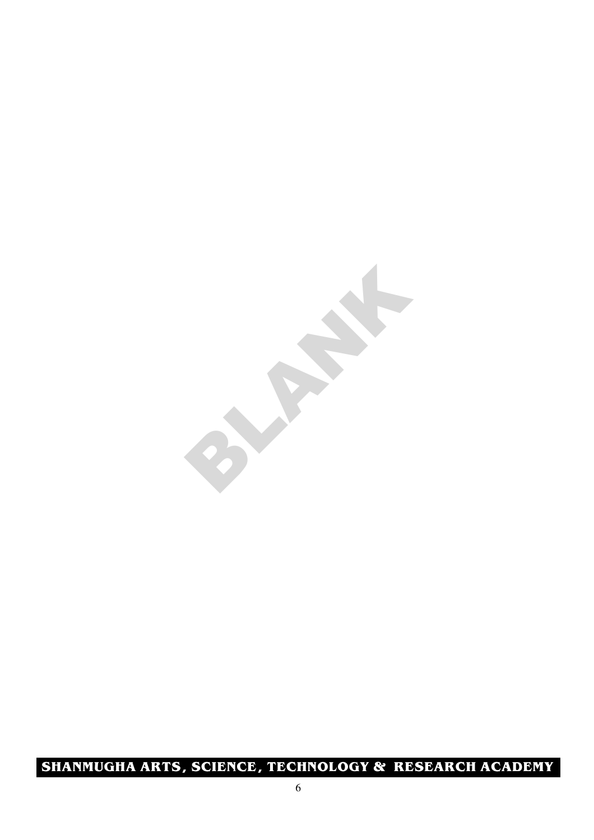BLANK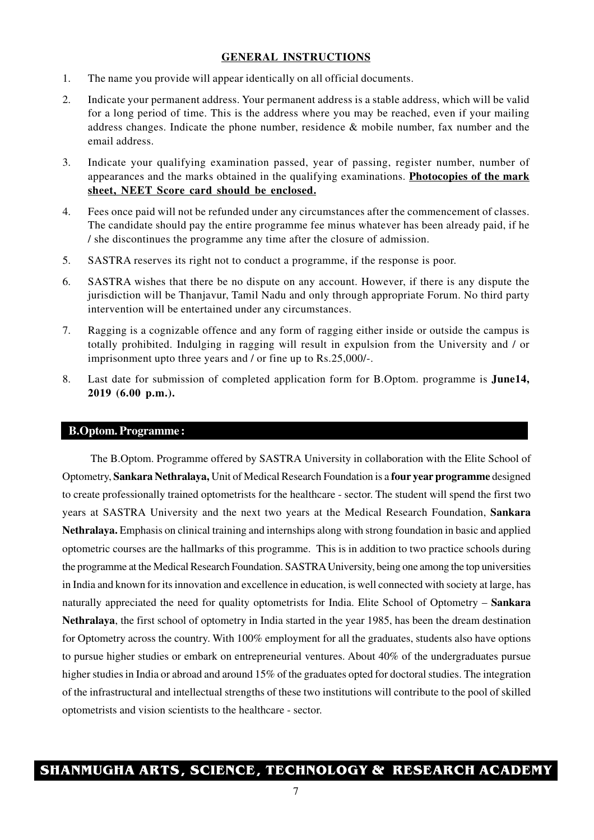#### **GENERAL INSTRUCTIONS**

- 1. The name you provide will appear identically on all official documents.
- 2. Indicate your permanent address. Your permanent address is a stable address, which will be valid for a long period of time. This is the address where you may be reached, even if your mailing address changes. Indicate the phone number, residence & mobile number, fax number and the email address.
- 3. Indicate your qualifying examination passed, year of passing, register number, number of appearances and the marks obtained in the qualifying examinations. **Photocopies of the mark sheet, NEET Score card should be enclosed.**
- 4. Fees once paid will not be refunded under any circumstances after the commencement of classes. The candidate should pay the entire programme fee minus whatever has been already paid, if he / she discontinues the programme any time after the closure of admission.
- 5. SASTRA reserves its right not to conduct a programme, if the response is poor.
- 6. SASTRA wishes that there be no dispute on any account. However, if there is any dispute the jurisdiction will be Thanjavur, Tamil Nadu and only through appropriate Forum. No third party intervention will be entertained under any circumstances.
- 7. Ragging is a cognizable offence and any form of ragging either inside or outside the campus is totally prohibited. Indulging in ragging will result in expulsion from the University and / or imprisonment upto three years and / or fine up to Rs.25,000/-.
- 8. Last date for submission of completed application form for B.Optom. programme is **June14, 2019 (6.00 p.m.).**

#### **B.Optom. Programme :**

The B.Optom. Programme offered by SASTRA University in collaboration with the Elite School of Optometry, **Sankara Nethralaya,** Unit of Medical Research Foundation is a **four year programme** designed to create professionally trained optometrists for the healthcare - sector. The student will spend the first two years at SASTRA University and the next two years at the Medical Research Foundation, **Sankara Nethralaya.** Emphasis on clinical training and internships along with strong foundation in basic and applied optometric courses are the hallmarks of this programme. This is in addition to two practice schools during the programme at the Medical Research Foundation. SASTRA University, being one among the top universities in India and known for its innovation and excellence in education, is well connected with society at large, has naturally appreciated the need for quality optometrists for India. Elite School of Optometry – **Sankara Nethralaya**, the first school of optometry in India started in the year 1985, has been the dream destination for Optometry across the country. With 100% employment for all the graduates, students also have options to pursue higher studies or embark on entrepreneurial ventures. About 40% of the undergraduates pursue higher studies in India or abroad and around 15% of the graduates opted for doctoral studies. The integration of the infrastructural and intellectual strengths of these two institutions will contribute to the pool of skilled optometrists and vision scientists to the healthcare - sector.